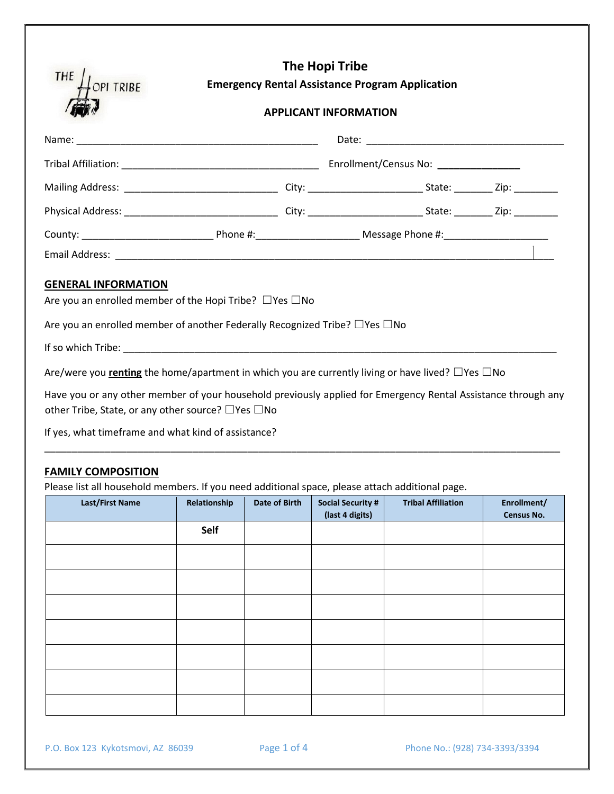| THE<br>OPI TRIBE                                                                       | The Hopi Tribe<br><b>Emergency Rental Assistance Program Application</b> |  |  |  |
|----------------------------------------------------------------------------------------|--------------------------------------------------------------------------|--|--|--|
|                                                                                        | <b>APPLICANT INFORMATION</b>                                             |  |  |  |
|                                                                                        |                                                                          |  |  |  |
|                                                                                        |                                                                          |  |  |  |
|                                                                                        |                                                                          |  |  |  |
|                                                                                        |                                                                          |  |  |  |
|                                                                                        |                                                                          |  |  |  |
|                                                                                        |                                                                          |  |  |  |
| <b>GENERAL INFORMATION</b>                                                             |                                                                          |  |  |  |
| Are you an enrolled member of the Hopi Tribe? $\Box$ Yes $\Box$ No                     |                                                                          |  |  |  |
| Are you an enrolled member of another Federally Recognized Tribe? $\Box$ Yes $\Box$ No |                                                                          |  |  |  |
|                                                                                        |                                                                          |  |  |  |
|                                                                                        |                                                                          |  |  |  |

Are/were you **renting** the home/apartment in which you are currently living or have lived? □Yes □No

Have you or any other member of your household previously applied for Emergency Rental Assistance through any other Tribe, State, or any other source? ☐Yes ☐No

\_\_\_\_\_\_\_\_\_\_\_\_\_\_\_\_\_\_\_\_\_\_\_\_\_\_\_\_\_\_\_\_\_\_\_\_\_\_\_\_\_\_\_\_\_\_\_\_\_\_\_\_\_\_\_\_\_\_\_\_\_\_\_\_\_\_\_\_\_\_\_\_\_\_\_\_\_\_\_\_\_\_\_\_\_\_\_\_\_\_\_\_\_\_

If yes, what timeframe and what kind of assistance?

### **FAMILY COMPOSITION**

Please list all household members. If you need additional space, please attach additional page.

| Last/First Name | Relationship | Date of Birth | <b>Social Security #</b><br>(last 4 digits) | <b>Tribal Affiliation</b> | Enrollment/<br>Census No. |
|-----------------|--------------|---------------|---------------------------------------------|---------------------------|---------------------------|
|                 | Self         |               |                                             |                           |                           |
|                 |              |               |                                             |                           |                           |
|                 |              |               |                                             |                           |                           |
|                 |              |               |                                             |                           |                           |
|                 |              |               |                                             |                           |                           |
|                 |              |               |                                             |                           |                           |
|                 |              |               |                                             |                           |                           |
|                 |              |               |                                             |                           |                           |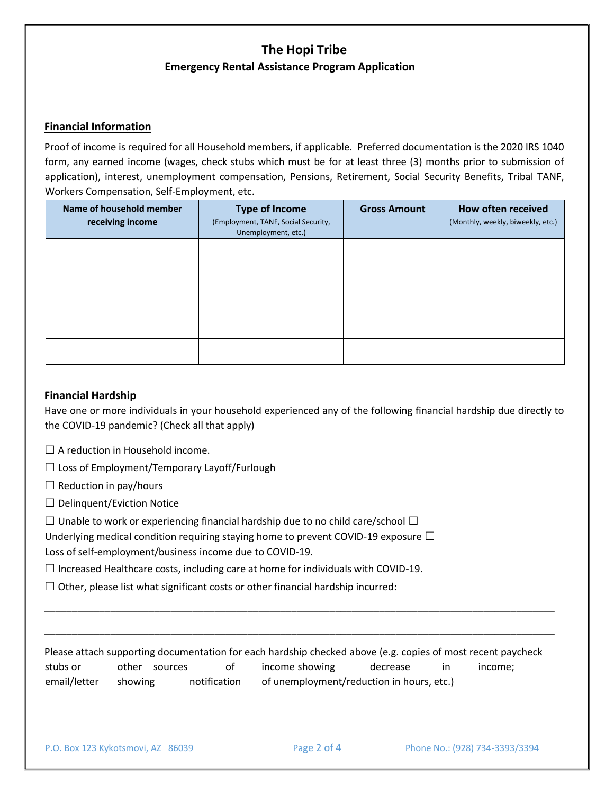## **The Hopi Tribe Emergency Rental Assistance Program Application**

### **Financial Information**

Proof of income is required for all Household members, if applicable. Preferred documentation is the 2020 IRS 1040 form, any earned income (wages, check stubs which must be for at least three (3) months prior to submission of application), interest, unemployment compensation, Pensions, Retirement, Social Security Benefits, Tribal TANF, Workers Compensation, Self-Employment, etc.

| Name of household member<br>receiving income | <b>Type of Income</b><br>(Employment, TANF, Social Security,<br>Unemployment, etc.) | <b>Gross Amount</b> | How often received<br>(Monthly, weekly, biweekly, etc.) |
|----------------------------------------------|-------------------------------------------------------------------------------------|---------------------|---------------------------------------------------------|
|                                              |                                                                                     |                     |                                                         |
|                                              |                                                                                     |                     |                                                         |
|                                              |                                                                                     |                     |                                                         |
|                                              |                                                                                     |                     |                                                         |
|                                              |                                                                                     |                     |                                                         |

#### **Financial Hardship**

Have one or more individuals in your household experienced any of the following financial hardship due directly to the COVID-19 pandemic? (Check all that apply)

- $\Box$  A reduction in Household income.
- ☐ Loss of Employment/Temporary Layoff/Furlough
- $\Box$  Reduction in pay/hours
- ☐ Delinquent/Eviction Notice
- $\Box$  Unable to work or experiencing financial hardship due to no child care/school  $\Box$
- Underlying medical condition requiring staying home to prevent COVID-19 exposure  $\Box$

Loss of self-employment/business income due to COVID-19.

- $\Box$  Increased Healthcare costs, including care at home for individuals with COVID-19.
- $\Box$  Other, please list what significant costs or other financial hardship incurred:

Please attach supporting documentation for each hardship checked above (e.g. copies of most recent paycheck stubs or other sources of income showing decrease in income; email/letter showing notification of unemployment/reduction in hours, etc.)

\_\_\_\_\_\_\_\_\_\_\_\_\_\_\_\_\_\_\_\_\_\_\_\_\_\_\_\_\_\_\_\_\_\_\_\_\_\_\_\_\_\_\_\_\_\_\_\_\_\_\_\_\_\_\_\_\_\_\_\_\_\_\_\_\_\_\_\_\_\_\_\_\_\_\_\_\_\_\_\_\_\_\_\_\_\_\_\_\_\_\_\_\_

\_\_\_\_\_\_\_\_\_\_\_\_\_\_\_\_\_\_\_\_\_\_\_\_\_\_\_\_\_\_\_\_\_\_\_\_\_\_\_\_\_\_\_\_\_\_\_\_\_\_\_\_\_\_\_\_\_\_\_\_\_\_\_\_\_\_\_\_\_\_\_\_\_\_\_\_\_\_\_\_\_\_\_\_\_\_\_\_\_\_\_\_\_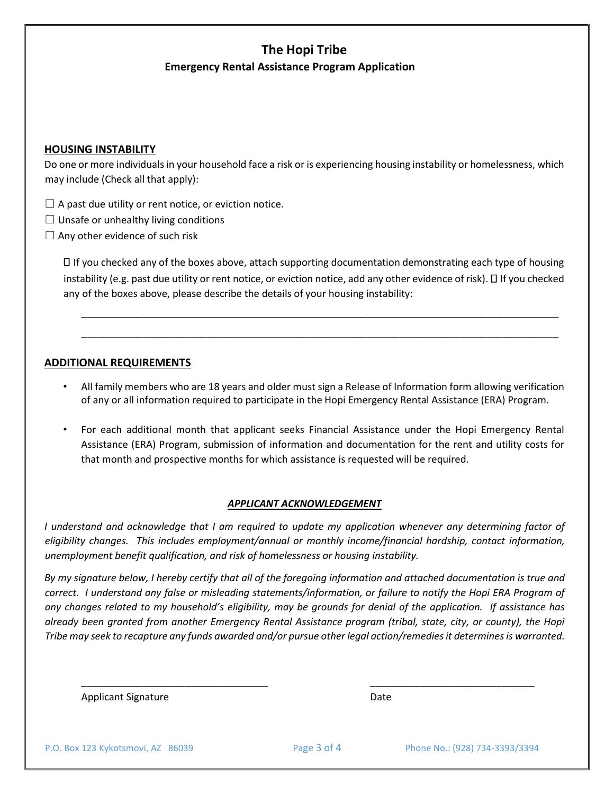# **The Hopi Tribe Emergency Rental Assistance Program Application**

### **HOUSING INSTABILITY**

Do one or more individuals in your household face a risk or is experiencing housing instability or homelessness, which may include (Check all that apply):

- $\Box$  A past due utility or rent notice, or eviction notice.
- $\Box$  Unsafe or unhealthy living conditions
- $\Box$  Any other evidence of such risk

If you checked any of the boxes above, attach supporting documentation demonstrating each type of housing instability (e.g. past due utility or rent notice, or eviction notice, add any other evidence of risk).  $\Box$  If you checked any of the boxes above, please describe the details of your housing instability:

\_\_\_\_\_\_\_\_\_\_\_\_\_\_\_\_\_\_\_\_\_\_\_\_\_\_\_\_\_\_\_\_\_\_\_\_\_\_\_\_\_\_\_\_\_\_\_\_\_\_\_\_\_\_\_\_\_\_\_\_\_\_\_\_\_\_\_\_\_\_\_\_\_\_\_\_\_\_\_\_\_\_\_\_\_\_\_

\_\_\_\_\_\_\_\_\_\_\_\_\_\_\_\_\_\_\_\_\_\_\_\_\_\_\_\_\_\_\_\_\_\_\_\_\_\_\_\_\_\_\_\_\_\_\_\_\_\_\_\_\_\_\_\_\_\_\_\_\_\_\_\_\_\_\_\_\_\_\_\_\_\_\_\_\_\_\_\_\_\_\_\_\_\_\_

### **ADDITIONAL REQUIREMENTS**

- All family members who are 18 years and older must sign a Release of Information form allowing verification of any or all information required to participate in the Hopi Emergency Rental Assistance (ERA) Program.
- For each additional month that applicant seeks Financial Assistance under the Hopi Emergency Rental Assistance (ERA) Program, submission of information and documentation for the rent and utility costs for that month and prospective months for which assistance is requested will be required.

#### *APPLICANT ACKNOWLEDGEMENT*

*I understand and acknowledge that I am required to update my application whenever any determining factor of eligibility changes. This includes employment/annual or monthly income/financial hardship, contact information, unemployment benefit qualification, and risk of homelessness or housing instability.* 

*By my signature below, I hereby certify that all of the foregoing information and attached documentation is true and correct. I understand any false or misleading statements/information, or failure to notify the Hopi ERA Program of any changes related to my household's eligibility, may be grounds for denial of the application. If assistance has already been granted from another Emergency Rental Assistance program (tribal, state, city, or county), the Hopi Tribe may seek to recapture any funds awarded and/or pursue other legal action/remedies it determines is warranted.* 

\_\_\_\_\_\_\_\_\_\_\_\_\_\_\_\_\_\_\_\_\_\_\_\_\_\_\_\_\_\_\_\_\_\_ \_\_\_\_\_\_\_\_\_\_\_\_\_\_\_\_\_\_\_\_\_\_\_\_\_\_\_\_\_\_

Applicant Signature Date Date